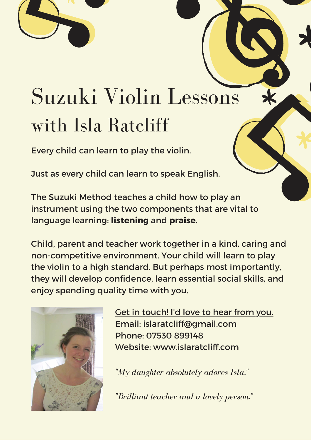## Suzuki Violin Lessons with Isla Ratcliff

Every child can learn to play the violin.

Just as every child can learn to speak English.

The Suzuki Method teaches a child how to play an instrument using the two components that are vital to language learning: **listening** and **praise**.

Child, parent and teacher work together in a kind, caring and non-competitive environment. Your child will learn to play the violin to a high standard. But perhaps most importantly, they will develop confidence, learn essential social skills, and enjoy spending quality time with you.



Get in touch! I'd love to hear from you. Email: [islaratcliff@gmail.com](mailto:islaratcliff@gmail.com) Phone: 07530 899148 Website: www.islaratcliff.com

*"My daughter absolutely adores Isla."*

*"Brilliant teacher and a lovely person."*